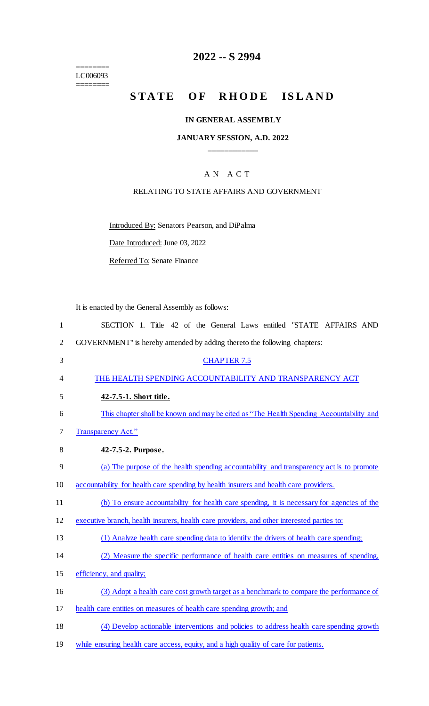======== LC006093

 $=$ 

# **2022 -- S 2994**

# **STATE OF RHODE ISLAND**

## **IN GENERAL ASSEMBLY**

## **JANUARY SESSION, A.D. 2022 \_\_\_\_\_\_\_\_\_\_\_\_**

# A N A C T

#### RELATING TO STATE AFFAIRS AND GOVERNMENT

Introduced By: Senators Pearson, and DiPalma

Date Introduced: June 03, 2022

Referred To: Senate Finance

It is enacted by the General Assembly as follows:

| $\mathbf{1}$   | SECTION 1. Title 42 of the General Laws entitled "STATE AFFAIRS AND                        |
|----------------|--------------------------------------------------------------------------------------------|
| $\overline{2}$ | GOVERNMENT" is hereby amended by adding thereto the following chapters:                    |
| 3              | <b>CHAPTER 7.5</b>                                                                         |
| 4              | THE HEALTH SPENDING ACCOUNTABILITY AND TRANSPARENCY ACT                                    |
| 5              | 42-7.5-1. Short title.                                                                     |
| 6              | This chapter shall be known and may be cited as "The Health Spending Accountability and    |
| 7              | Transparency Act."                                                                         |
| 8              | 42-7.5-2. Purpose.                                                                         |
| 9              | (a) The purpose of the health spending accountability and transparency act is to promote   |
| 10             | accountability for health care spending by health insurers and health care providers.      |
| 11             | (b) To ensure accountability for health care spending, it is necessary for agencies of the |
| 12             | executive branch, health insurers, health care providers, and other interested parties to: |
| 13             | (1) Analyze health care spending data to identify the drivers of health care spending;     |
| 14             | (2) Measure the specific performance of health care entities on measures of spending,      |
| 15             | efficiency, and quality;                                                                   |
| 16             | (3) Adopt a health care cost growth target as a benchmark to compare the performance of    |
| 17             | health care entities on measures of health care spending growth; and                       |
| 18             | (4) Develop actionable interventions and policies to address health care spending growth   |
| 19             | while ensuring health care access, equity, and a high quality of care for patients.        |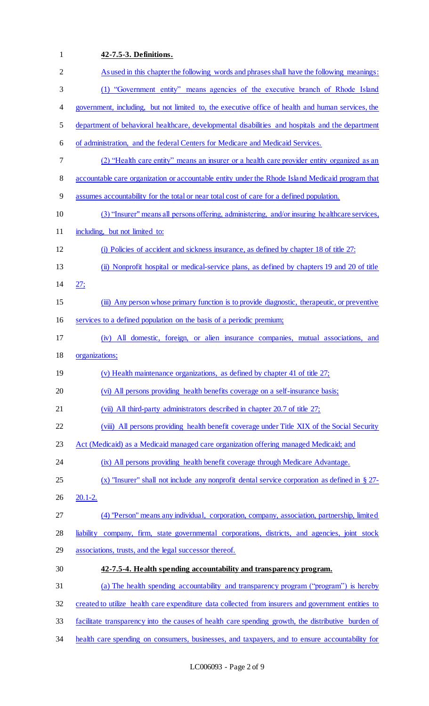| 1              | 42-7.5-3. Definitions.                                                                             |
|----------------|----------------------------------------------------------------------------------------------------|
| $\overline{2}$ | As used in this chapter the following words and phrases shall have the following meanings:         |
| 3              | (1) "Government entity" means agencies of the executive branch of Rhode Island                     |
| 4              | government, including, but not limited to, the executive office of health and human services, the  |
| 5              | department of behavioral healthcare, developmental disabilities and hospitals and the department   |
| 6              | of administration, and the federal Centers for Medicare and Medicaid Services.                     |
| 7              | (2) "Health care entity" means an insurer or a health care provider entity organized as an         |
| 8              | accountable care organization or accountable entity under the Rhode Island Medicaid program that   |
| 9              | assumes accountability for the total or near total cost of care for a defined population.          |
| 10             | (3) "Insurer" means all persons offering, administering, and/or insuring healthcare services,      |
| 11             | including, but not limited to:                                                                     |
| 12             | (i) Policies of accident and sickness insurance, as defined by chapter 18 of title 27:             |
| 13             | (ii) Nonprofit hospital or medical-service plans, as defined by chapters 19 and 20 of title        |
| 14             | 27;                                                                                                |
| 15             | (iii) Any person whose primary function is to provide diagnostic, therapeutic, or preventive       |
| 16             | services to a defined population on the basis of a periodic premium;                               |
| 17             | (iv) All domestic, foreign, or alien insurance companies, mutual associations, and                 |
| 18             | organizations;                                                                                     |
| 19             | (v) Health maintenance organizations, as defined by chapter 41 of title 27;                        |
| 20             | (vi) All persons providing health benefits coverage on a self-insurance basis;                     |
| 21             | (vii) All third-party administrators described in chapter 20.7 of title 27;                        |
| 22             | (viii) All persons providing health benefit coverage under Title XIX of the Social Security        |
| 23             | Act (Medicaid) as a Medicaid managed care organization offering managed Medicaid; and              |
| 24             | (ix) All persons providing health benefit coverage through Medicare Advantage.                     |
| 25             | (x) "Insurer" shall not include any nonprofit dental service corporation as defined in $\S$ 27-    |
| 26             | $20.1 - 2.$                                                                                        |
| 27             | (4) "Person" means any individual, corporation, company, association, partnership, limited         |
| 28             | company, firm, state governmental corporations, districts, and agencies, joint stock<br>liability  |
| 29             | associations, trusts, and the legal successor thereof.                                             |
| 30             | 42-7.5-4. Health spending accountability and transparency program.                                 |
| 31             | (a) The health spending accountability and transparency program ("program") is hereby              |
| 32             | created to utilize health care expenditure data collected from insurers and government entities to |
| 33             | facilitate transparency into the causes of health care spending growth, the distributive burden of |
| 34             | health care spending on consumers, businesses, and taxpayers, and to ensure accountability for     |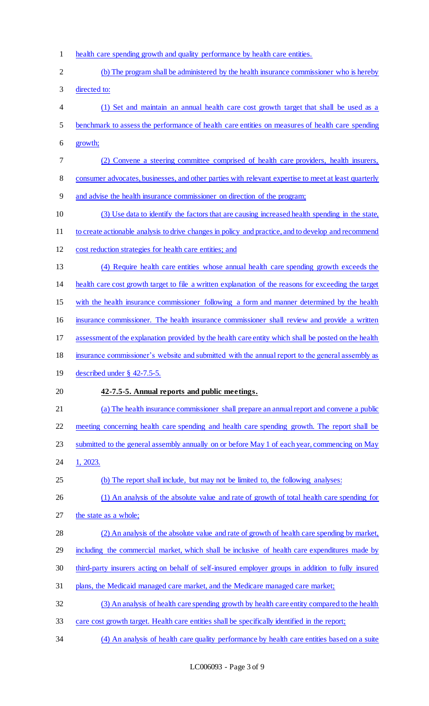- health care spending growth and quality performance by health care entities.
- (b) The program shall be administered by the health insurance commissioner who is hereby directed to: 4 (1) Set and maintain an annual health care cost growth target that shall be used as a benchmark to assess the performance of health care entities on measures of health care spending growth; (2) Convene a steering committee comprised of health care providers, health insurers, 8 consumer advocates, businesses, and other parties with relevant expertise to meet at least quarterly and advise the health insurance commissioner on direction of the program; (3) Use data to identify the factors that are causing increased health spending in the state, to create actionable analysis to drive changes in policy and practice, and to develop and recommend cost reduction strategies for health care entities; and (4) Require health care entities whose annual health care spending growth exceeds the health care cost growth target to file a written explanation of the reasons for exceeding the target with the health insurance commissioner following a form and manner determined by the health insurance commissioner. The health insurance commissioner shall review and provide a written assessment of the explanation provided by the health care entity which shall be posted on the health insurance commissioner's website and submitted with the annual report to the general assembly as described under § 42-7.5-5. **42-7.5-5. Annual reports and public meetings.**  21 (a) The health insurance commissioner shall prepare an annual report and convene a public meeting concerning health care spending and health care spending growth. The report shall be 23 submitted to the general assembly annually on or before May 1 of each year, commencing on May 24 1, 2023. (b) The report shall include, but may not be limited to, the following analyses: 26 (1) An analysis of the absolute value and rate of growth of total health care spending for the state as a whole; (2) An analysis of the absolute value and rate of growth of health care spending by market, 29 including the commercial market, which shall be inclusive of health care expenditures made by third-party insurers acting on behalf of self-insured employer groups in addition to fully insured plans, the Medicaid managed care market, and the Medicare managed care market; (3) An analysis of health care spending growth by health care entity compared to the health care cost growth target. Health care entities shall be specifically identified in the report;
- (4) An analysis of health care quality performance by health care entities based on a suite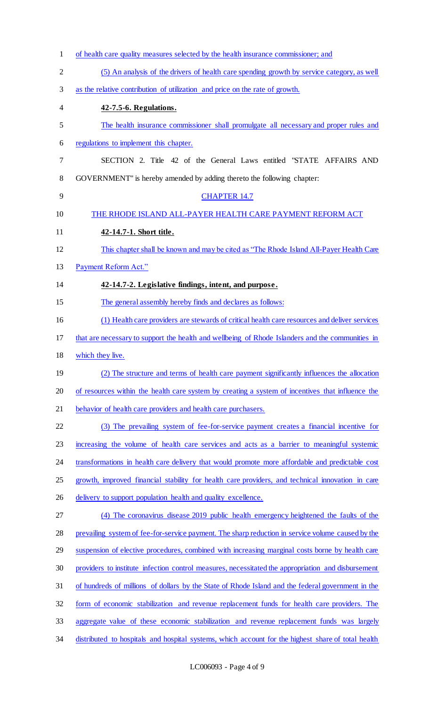| $\mathbf{1}$   | of health care quality measures selected by the health insurance commissioner; and                 |
|----------------|----------------------------------------------------------------------------------------------------|
| $\overline{2}$ | (5) An analysis of the drivers of health care spending growth by service category, as well         |
| 3              | as the relative contribution of utilization and price on the rate of growth.                       |
| 4              | 42-7.5-6. Regulations.                                                                             |
| 5              | The health insurance commissioner shall promulgate all necessary and proper rules and              |
| 6              | regulations to implement this chapter.                                                             |
| 7              | SECTION 2. Title 42 of the General Laws entitled "STATE AFFAIRS AND                                |
| 8              | GOVERNMENT" is hereby amended by adding thereto the following chapter:                             |
| 9              | <b>CHAPTER 14.7</b>                                                                                |
| 10             | THE RHODE ISLAND ALL-PAYER HEALTH CARE PAYMENT REFORM ACT                                          |
| 11             | 42-14.7-1. Short title.                                                                            |
| 12             | This chapter shall be known and may be cited as "The Rhode Island All-Payer Health Care"           |
| 13             | Payment Reform Act."                                                                               |
| 14             | 42-14.7-2. Legislative findings, intent, and purpose.                                              |
| 15             | The general assembly hereby finds and declares as follows:                                         |
| 16             | (1) Health care providers are stewards of critical health care resources and deliver services      |
| 17             | that are necessary to support the health and wellbeing of Rhode Islanders and the communities in   |
| 18             | which they live.                                                                                   |
| 19             | (2) The structure and terms of health care payment significantly influences the allocation         |
| 20             | of resources within the health care system by creating a system of incentives that influence the   |
| 21             | behavior of health care providers and health care purchasers.                                      |
| 22             | (3) The prevailing system of fee-for-service payment creates a financial incentive for             |
| 23             | increasing the volume of health care services and acts as a barrier to meaningful systemic         |
| 24             | transformations in health care delivery that would promote more affordable and predictable cost    |
| 25             | growth, improved financial stability for health care providers, and technical innovation in care   |
| 26             | delivery to support population health and quality excellence.                                      |
| 27             | (4) The coronavirus disease 2019 public health emergency heightened the faults of the              |
| 28             | prevailing system of fee-for-service payment. The sharp reduction in service volume caused by the  |
| 29             | suspension of elective procedures, combined with increasing marginal costs borne by health care    |
| 30             | providers to institute infection control measures, necessitated the appropriation and disbursement |
| 31             | of hundreds of millions of dollars by the State of Rhode Island and the federal government in the  |
| 32             | form of economic stabilization and revenue replacement funds for health care providers. The        |
| 33             | aggregate value of these economic stabilization and revenue replacement funds was largely          |
| 34             | distributed to hospitals and hospital systems, which account for the highest share of total health |
|                |                                                                                                    |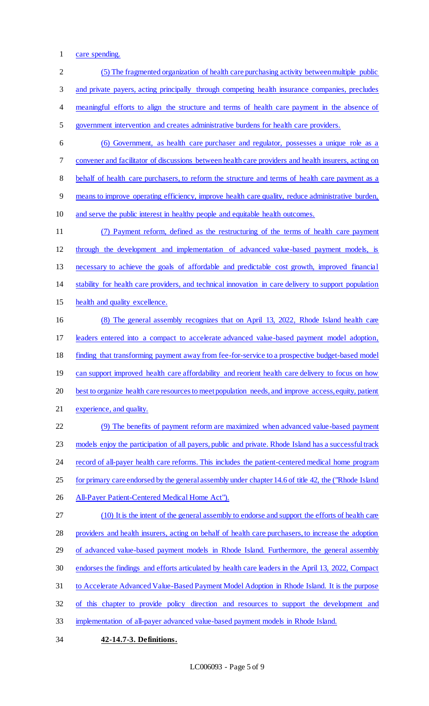care spending.

 (5) The fragmented organization of health care purchasing activity between multiple public and private payers, acting principally through competing health insurance companies, precludes 4 meaningful efforts to align the structure and terms of health care payment in the absence of government intervention and creates administrative burdens for health care providers. (6) Government, as health care purchaser and regulator, possesses a unique role as a convener and facilitator of discussions between health care providers and health insurers, acting on behalf of health care purchasers, to reform the structure and terms of health care payment as a means to improve operating efficiency, improve health care quality, reduce administrative burden, and serve the public interest in healthy people and equitable health outcomes. (7) Payment reform, defined as the restructuring of the terms of health care payment through the development and implementation of advanced value-based payment models, is necessary to achieve the goals of affordable and predictable cost growth, improved financial stability for health care providers, and technical innovation in care delivery to support population health and quality excellence. (8) The general assembly recognizes that on April 13, 2022, Rhode Island health care leaders entered into a compact to accelerate advanced value-based payment model adoption, 18 finding that transforming payment away from fee-for-service to a prospective budget-based model 19 can support improved health care affordability and reorient health care delivery to focus on how best to organize health care resources to meet population needs, and improve access, equity, patient experience, and quality. (9) The benefits of payment reform are maximized when advanced value-based payment models enjoy the participation of all payers, public and private. Rhode Island has a successful track 24 record of all-payer health care reforms. This includes the patient-centered medical home program for primary care endorsed by the general assembly under chapter 14.6 of title 42, the ("Rhode Island 26 All-Payer Patient-Centered Medical Home Act"). (10) It is the intent of the general assembly to endorse and support the efforts of health care providers and health insurers, acting on behalf of health care purchasers, to increase the adoption 29 of advanced value-based payment models in Rhode Island. Furthermore, the general assembly endorses the findings and efforts articulated by health care leaders in the April 13, 2022, Compact to Accelerate Advanced Value-Based Payment Model Adoption in Rhode Island. It is the purpose of this chapter to provide policy direction and resources to support the development and implementation of all-payer advanced value-based payment models in Rhode Island. **42-14.7-3. Definitions.**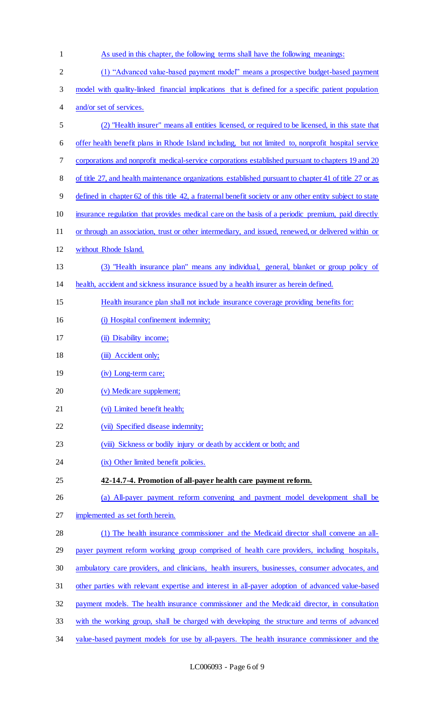| $\mathbf{1}$   | As used in this chapter, the following terms shall have the following meanings:                          |
|----------------|----------------------------------------------------------------------------------------------------------|
| $\overline{2}$ | (1) "Advanced value-based payment model" means a prospective budget-based payment                        |
| 3              | model with quality-linked financial implications that is defined for a specific patient population       |
| 4              | and/or set of services.                                                                                  |
| 5              | (2) "Health insurer" means all entities licensed, or required to be licensed, in this state that         |
| 6              | offer health benefit plans in Rhode Island including, but not limited to, nonprofit hospital service     |
| 7              | corporations and nonprofit medical-service corporations established pursuant to chapters 19 and 20       |
| 8              | of title 27, and health maintenance organizations established pursuant to chapter 41 of title 27 or as   |
| 9              | defined in chapter 62 of this title 42, a fraternal benefit society or any other entity subject to state |
| 10             | insurance regulation that provides medical care on the basis of a periodic premium, paid directly        |
| 11             | or through an association, trust or other intermediary, and issued, renewed, or delivered within or      |
| 12             | without Rhode Island.                                                                                    |
| 13             | (3) "Health insurance plan" means any individual, general, blanket or group policy of                    |
| 14             | health, accident and sickness insurance issued by a health insurer as herein defined.                    |
| 15             | Health insurance plan shall not include insurance coverage providing benefits for:                       |
| 16             | (i) Hospital confinement indemnity;                                                                      |
| 17             | (ii) Disability income;                                                                                  |
| 18             | (iii) Accident only;                                                                                     |
| 19             | (iv) Long-term care;                                                                                     |
| 20             | (v) Medicare supplement;                                                                                 |
| 21             | (vi) Limited benefit health;                                                                             |
| 22             | (vii) Specified disease indemnity;                                                                       |
| 23             | (viii) Sickness or bodily injury or death by accident or both; and                                       |
| 24             | (ix) Other limited benefit policies.                                                                     |
| 25             | 42-14.7-4. Promotion of all-payer health care payment reform.                                            |
| 26             | (a) All-payer payment reform convening and payment model development shall be                            |
| 27             | implemented as set forth herein.                                                                         |
| 28             | (1) The health insurance commissioner and the Medicaid director shall convene an all-                    |
| 29             | payer payment reform working group comprised of health care providers, including hospitals,              |
| 30             | ambulatory care providers, and clinicians, health insurers, businesses, consumer advocates, and          |
| 31             | other parties with relevant expertise and interest in all-payer adoption of advanced value-based         |
| 32             | payment models. The health insurance commissioner and the Medicaid director, in consultation             |
| 33             | with the working group, shall be charged with developing the structure and terms of advanced             |
| 34             | value-based payment models for use by all-payers. The health insurance commissioner and the              |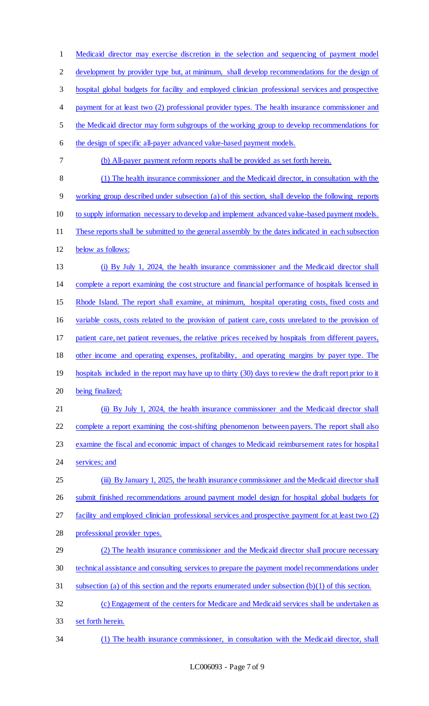Medicaid director may exercise discretion in the selection and sequencing of payment model development by provider type but, at minimum, shall develop recommendations for the design of hospital global budgets for facility and employed clinician professional services and prospective payment for at least two (2) professional provider types. The health insurance commissioner and the Medicaid director may form subgroups of the working group to develop recommendations for the design of specific all-payer advanced value-based payment models. (b) All-payer payment reform reports shall be provided as set forth herein. (1) The health insurance commissioner and the Medicaid director, in consultation with the working group described under subsection (a) of this section, shall develop the following reports to supply information necessary to develop and implement advanced value-based payment models. These reports shall be submitted to the general assembly by the dates indicated in each subsection below as follows: (i) By July 1, 2024, the health insurance commissioner and the Medicaid director shall complete a report examining the cost structure and financial performance of hospitals licensed in Rhode Island. The report shall examine, at minimum, hospital operating costs, fixed costs and variable costs, costs related to the provision of patient care, costs unrelated to the provision of patient care, net patient revenues, the relative prices received by hospitals from different payers, other income and operating expenses, profitability, and operating margins by payer type. The 19 hospitals included in the report may have up to thirty (30) days to review the draft report prior to it being finalized; (ii) By July 1, 2024, the health insurance commissioner and the Medicaid director shall complete a report examining the cost-shifting phenomenon between payers. The report shall also examine the fiscal and economic impact of changes to Medicaid reimbursement rates for hospital 24 services; and 25 (iii) By January 1, 2025, the health insurance commissioner and the Medicaid director shall 26 submit finished recommendations around payment model design for hospital global budgets for facility and employed clinician professional services and prospective payment for at least two (2) professional provider types. (2) The health insurance commissioner and the Medicaid director shall procure necessary technical assistance and consulting services to prepare the payment model recommendations under subsection (a) of this section and the reports enumerated under subsection (b)(1) of this section. (c) Engagement of the centers for Medicare and Medicaid services shall be undertaken as set forth herein. (1) The health insurance commissioner, in consultation with the Medicaid director, shall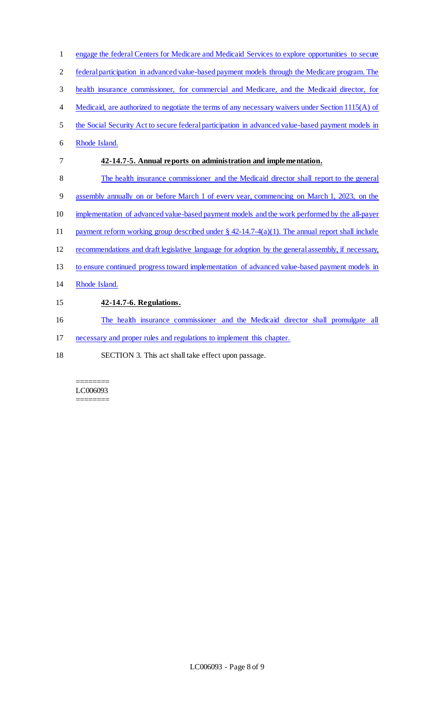| 1              | engage the federal Centers for Medicare and Medicaid Services to explore opportunities to secure   |
|----------------|----------------------------------------------------------------------------------------------------|
| $\overline{2}$ | federal participation in advanced value-based payment models through the Medicare program. The     |
| 3              | health insurance commissioner, for commercial and Medicare, and the Medicaid director, for         |
| 4              | Medicaid, are authorized to negotiate the terms of any necessary waivers under Section 1115(A) of  |
| 5              | the Social Security Act to secure federal participation in advanced value-based payment models in  |
| 6              | Rhode Island.                                                                                      |
| 7              | 42-14.7-5. Annual reports on administration and implementation.                                    |
| 8              | The health insurance commissioner and the Medicaid director shall report to the general            |
| 9              | assembly annually on or before March 1 of every year, commencing on March 1, 2023, on the          |
| 10             | implementation of advanced value-based payment models and the work performed by the all-payer      |
| 11             | payment reform working group described under $\S$ 42-14.7-4(a)(1). The annual report shall include |
| 12             | recommendations and draft legislative language for adoption by the general assembly, if necessary, |
| 13             | to ensure continued progress toward implementation of advanced value-based payment models in       |
| 14             | Rhode Island.                                                                                      |
| 15             | 42-14.7-6. Regulations.                                                                            |
| 16             | The health insurance commissioner and the Medicaid director shall promulgate all                   |
| 17             | necessary and proper rules and regulations to implement this chapter.                              |
|                |                                                                                                    |

18 SECTION 3. This act shall take effect upon passage.

======== LC006093 ========